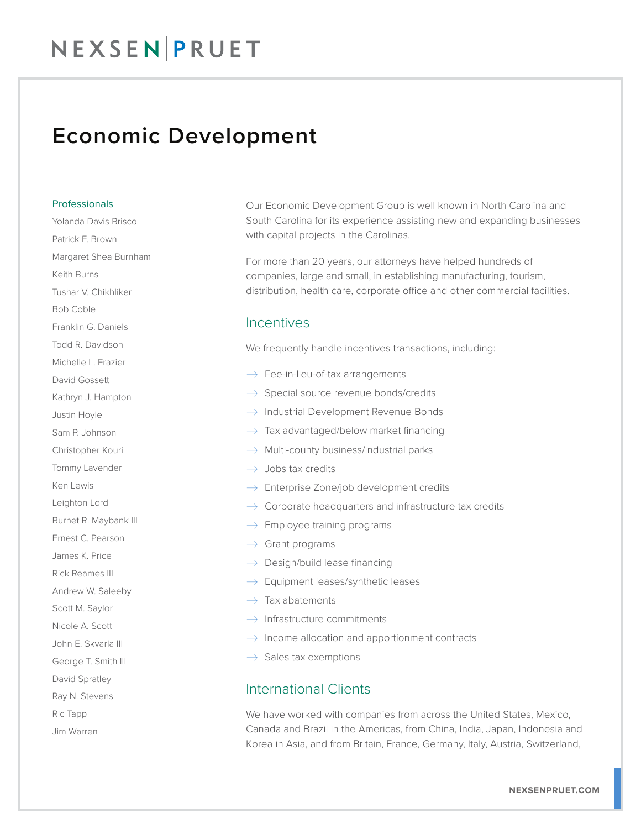### Economic Development

#### **Professionals**

Yolanda Davis Brisco Patrick F. Brown Margaret Shea Burnham Keith Burns Tushar V. Chikhliker Bob Coble Franklin G. Daniels Todd R. Davidson Michelle L. Frazier David Gossett Kathryn J. Hampton Justin Hoyle Sam P. Johnson Christopher Kouri Tommy Lavender Ken Lewis Leighton Lord Burnet R. Maybank III Ernest C. Pearson James K. Price Rick Reames III Andrew W. Saleeby Scott M. Saylor Nicole A. Scott John E. Skvarla III George T. Smith III David Spratley Ray N. Stevens Ric Tapp Jim Warren

Our Economic Development Group is well known in North Carolina and South Carolina for its experience assisting new and expanding businesses with capital projects in the Carolinas.

For more than 20 years, our attorneys have helped hundreds of companies, large and small, in establishing manufacturing, tourism, distribution, health care, corporate office and other commercial facilities.

### Incentives

We frequently handle incentives transactions, including:

- $\rightarrow$  Fee-in-lieu-of-tax arrangements
- $\rightarrow$  Special source revenue bonds/credits
- $\rightarrow$  Industrial Development Revenue Bonds
- $\rightarrow$  Tax advantaged/below market financing
- $\rightarrow$  Multi-county business/industrial parks
- $\rightarrow$  Jobs tax credits
- $\rightarrow$  Enterprise Zone/job development credits
- $\rightarrow$  Corporate headquarters and infrastructure tax credits
- $\rightarrow$  Employee training programs
- $\rightarrow$  Grant programs
- $\rightarrow$  Design/build lease financing
- $\rightarrow$  Equipment leases/synthetic leases
- $\rightarrow$  Tax abatements
- $\rightarrow$  Infrastructure commitments
- $\rightarrow$  Income allocation and apportionment contracts
- $\rightarrow$  Sales tax exemptions

### International Clients

We have worked with companies from across the United States, Mexico, Canada and Brazil in the Americas, from China, India, Japan, Indonesia and Korea in Asia, and from Britain, France, Germany, Italy, Austria, Switzerland,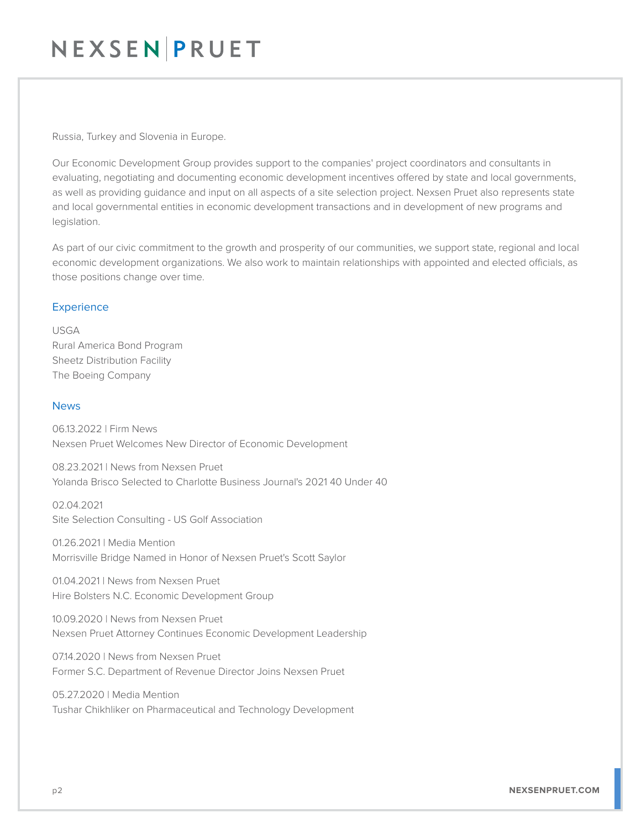Russia, Turkey and Slovenia in Europe.

Our Economic Development Group provides support to the companies' project coordinators and consultants in evaluating, negotiating and documenting economic development incentives offered by state and local governments, as well as providing guidance and input on all aspects of a site selection project. Nexsen Pruet also represents state and local governmental entities in economic development transactions and in development of new programs and legislation.

As part of our civic commitment to the growth and prosperity of our communities, we support state, regional and local economic development organizations. We also work to maintain relationships with appointed and elected officials, as those positions change over time.

#### **Experience**

#### USGA

Rural America Bond Program Sheetz Distribution Facility The Boeing Company

#### News

06.13.2022 | Firm News Nexsen Pruet Welcomes New Director of Economic Development

08.23.2021 | News from Nexsen Pruet Yolanda Brisco Selected to Charlotte Business Journal's 2021 40 Under 40

02.04.2021 Site Selection Consulting - US Golf Association

01.26.2021 | Media Mention Morrisville Bridge Named in Honor of Nexsen Pruet's Scott Saylor

01.04.2021 | News from Nexsen Pruet Hire Bolsters N.C. Economic Development Group

10.09.2020 | News from Nexsen Pruet Nexsen Pruet Attorney Continues Economic Development Leadership

07.14.2020 | News from Nexsen Pruet Former S.C. Department of Revenue Director Joins Nexsen Pruet

05.27.2020 | Media Mention Tushar Chikhliker on Pharmaceutical and Technology Development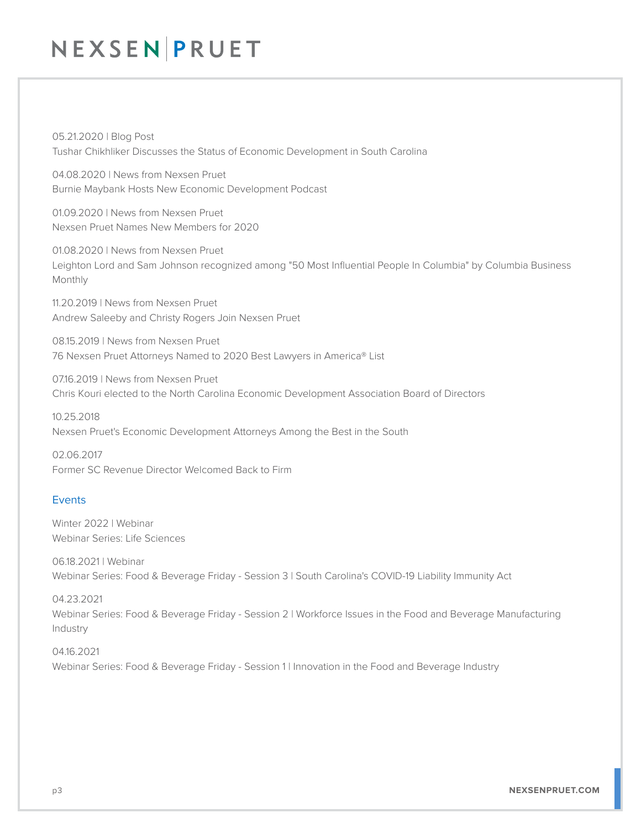05.21.2020 | Blog Post Tushar Chikhliker Discusses the Status of Economic Development in South Carolina

04.08.2020 | News from Nexsen Pruet Burnie Maybank Hosts New Economic Development Podcast

01.09.2020 | News from Nexsen Pruet Nexsen Pruet Names New Members for 2020

01.08.2020 | News from Nexsen Pruet Leighton Lord and Sam Johnson recognized among "50 Most Influential People In Columbia" by Columbia Business Monthly

11.20.2019 | News from Nexsen Pruet Andrew Saleeby and Christy Rogers Join Nexsen Pruet

08.15.2019 | News from Nexsen Pruet 76 Nexsen Pruet Attorneys Named to 2020 Best Lawyers in America® List

07.16.2019 | News from Nexsen Pruet Chris Kouri elected to the North Carolina Economic Development Association Board of Directors

10.25.2018 Nexsen Pruet's Economic Development Attorneys Among the Best in the South

02.06.2017 Former SC Revenue Director Welcomed Back to Firm

#### **Events**

Winter 2022 | Webinar Webinar Series: Life Sciences

06.18.2021 | Webinar Webinar Series: Food & Beverage Friday - Session 3 | South Carolina's COVID-19 Liability Immunity Act

04.23.2021 Webinar Series: Food & Beverage Friday - Session 2 | Workforce Issues in the Food and Beverage Manufacturing Industry

04.16.2021 Webinar Series: Food & Beverage Friday - Session 1 | Innovation in the Food and Beverage Industry